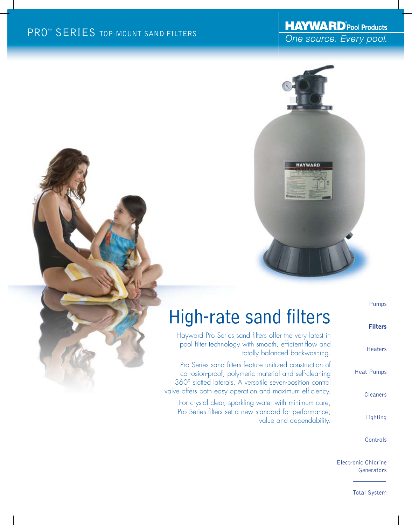## **HAYWARD** Pool Products One source. Every pool.



Pumps

Filters

| <b>High-rate sand filters</b> |
|-------------------------------|
|-------------------------------|

Hayward Pro Series sand filters offer the very latest in pool filter technology with smooth, efficient flow and totally balanced backwashing.

Pro Series sand filters feature unitized construction of corrosion-proof, polymeric material and self-cleaning 360° slotted laterals. A versatile seven-position control valve offers both easy operation and maximum efficiency.

For crystal clear, sparkling water with minimum care, Pro Series filters set a new standard for performance, value and dependability.

| Heaters         |
|-----------------|
| Heat Pumps      |
| <b>Cleaners</b> |

Lighting

Controls

Electronic Chlorine **Generators** 

Total System